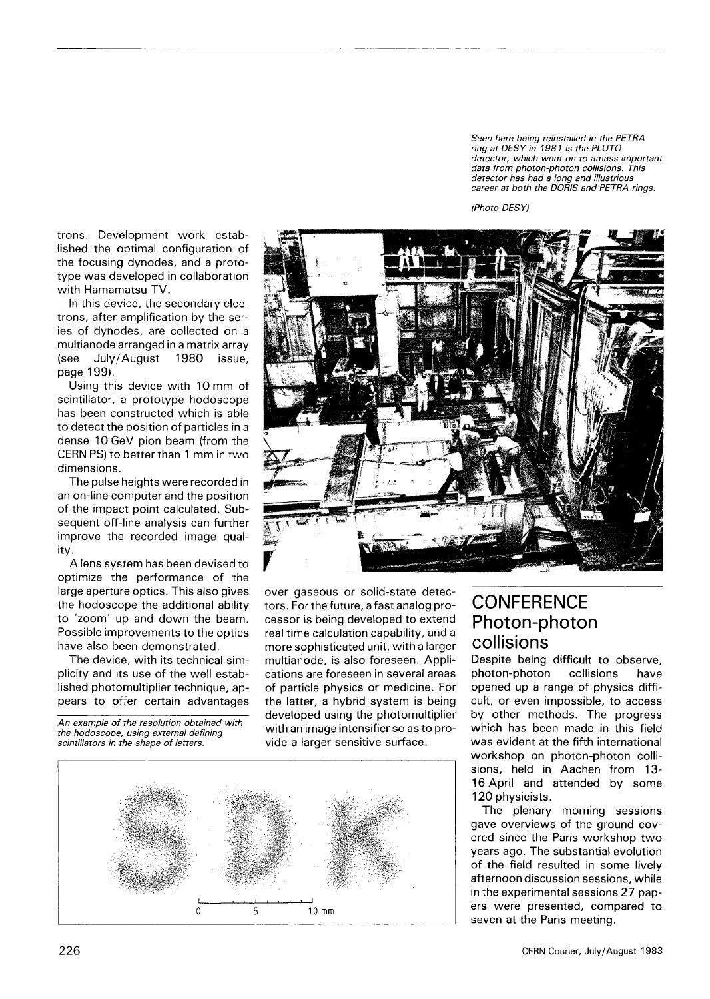*Seen here being reinstalled in the PETRA ring at DESY in 1981 is the PLUTO detector, which went on to amass important data from photon-photon collisions. This detector has had a long and illustrious career at both the DORIS and PETRA rings.* 



trons. Development work established the optimal configuration of the focusing dynodes, and a prototype was developed in collaboration with Hamamatsu TV.

In this device, the secondary electrons, after amplification by the series of dynodes, are collected on a multianode arranged in a matrix array (see July/August 1980 issue, page 199).

Using this device with 10 mm of scintillator, a prototype hodoscope has been constructed which is able to detect the position of particles in a dense 10 GeV pion beam (from the CERN PS) to better than 1 mm in two dimensions.

The pulse heights were recorded in an on-line computer and the position of the impact point calculated. Subsequent off-line analysis can further improve the recorded image quality.

A lens system has been devised to optimize the performance of the large aperture optics. This also gives the hodoscope the additional ability to 'zoom' up and down the beam. Possible improvements to the optics have also been demonstrated.

The device, with its technical simplicity and its use of the well established photomultiplier technique, appears to offer certain advantages

*An example of the resolution obtained with the hodoscope, using external defining scintillators in the shape of letters.* 



over gaseous or solid-state detectors. For the future, a fast analog processor is being developed to extend real time calculation capability, and a more sophisticated unit, with a larger multianode, is also foreseen. Applications are foreseen in several areas of particle physics or medicine. For the latter, a hybrid system is being developed using the photomultiplier with an image intensifier so as to provide a larger sensitive surface.



## **CONFERENCE** Photon-photon collisions

Despite being difficult to observe, photon-photon collisions have opened up a range of physics difficult, or even impossible, to access by other methods. The progress which has been made in this field was evident at the fifth international workshop on photon-photon collisions, held in Aachen from 13- 16 April and attended by some 120 physicists.

The plenary morning sessions gave overviews of the ground covered since the Paris workshop two years ago. The substantial evolution of the field resulted in some lively afternoon discussion sessions, while in the experimental sessions 27 papers were presented, compared to seven at the Paris meeting.